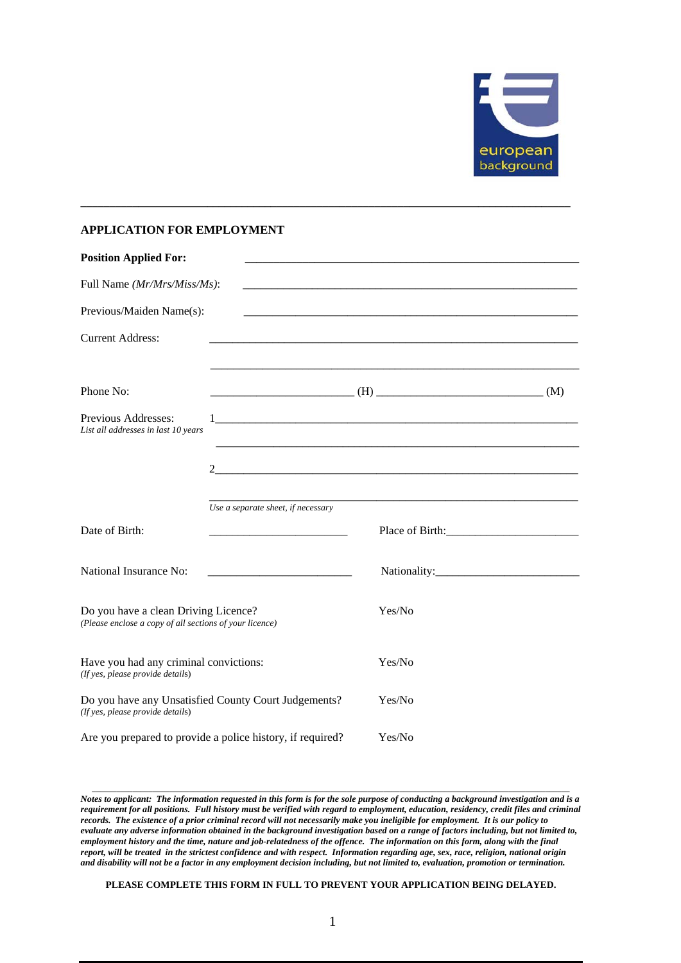

## **APPLICATION FOR EMPLOYMENT**

| <b>Position Applied For:</b>                                                                    |                                    |        |  |
|-------------------------------------------------------------------------------------------------|------------------------------------|--------|--|
| Full Name (Mr/Mrs/Miss/Ms):                                                                     |                                    |        |  |
| Previous/Maiden Name(s):                                                                        |                                    |        |  |
| <b>Current Address:</b>                                                                         |                                    |        |  |
| Phone No:                                                                                       |                                    |        |  |
| Previous Addresses:<br>List all addresses in last 10 years                                      |                                    |        |  |
|                                                                                                 | 2                                  |        |  |
|                                                                                                 | Use a separate sheet, if necessary |        |  |
| Date of Birth:                                                                                  |                                    |        |  |
| National Insurance No:                                                                          |                                    |        |  |
| Do you have a clean Driving Licence?<br>(Please enclose a copy of all sections of your licence) |                                    | Yes/No |  |
| Have you had any criminal convictions:<br>(If yes, please provide details)                      |                                    | Yes/No |  |
| Do you have any Unsatisfied County Court Judgements?<br>(If yes, please provide details)        |                                    | Yes/No |  |
| Are you prepared to provide a police history, if required?                                      |                                    | Yes/No |  |

**\_\_\_\_\_\_\_\_\_\_\_\_\_\_\_\_\_\_\_\_\_\_\_\_\_\_\_\_\_\_\_\_\_\_\_\_\_\_\_\_\_\_\_\_\_\_\_\_\_\_\_\_\_\_\_\_\_\_\_\_\_\_\_\_\_\_\_\_\_\_\_\_\_\_\_\_\_\_\_\_\_\_\_\_\_** 

*Notes to applicant: The information requested in this form is for the sole purpose of conducting a background investigation and is a requirement for all positions. Full history must be verified with regard to employment, education, residency, credit files and criminal records. The existence of a prior criminal record will not necessarily make you ineligible for employment. It is our policy to evaluate any adverse information obtained in the background investigation based on a range of factors including, but not limited to, employment history and the time, nature and job-relatedness of the offence. The information on this form, along with the final report, will be treated in the strictest confidence and with respect. Information regarding age, sex, race, religion, national origin and disability will not be a factor in any employment decision including, but not limited to, evaluation, promotion or termination.* 

**\_\_\_\_\_\_\_\_\_\_\_\_\_\_\_\_\_\_\_\_\_\_\_\_\_\_\_\_\_\_\_\_\_\_\_\_\_\_\_\_\_\_\_\_\_\_\_\_\_\_\_\_\_\_\_\_\_\_\_\_\_\_\_\_\_\_\_\_\_\_\_\_\_\_\_\_\_\_\_\_\_\_\_\_\_\_\_\_\_\_\_\_\_\_\_\_\_\_\_\_\_\_\_\_\_\_\_\_\_\_\_\_\_\_\_\_\_\_** 

**PLEASE COMPLETE THIS FORM IN FULL TO PREVENT YOUR APPLICATION BEING DELAYED.**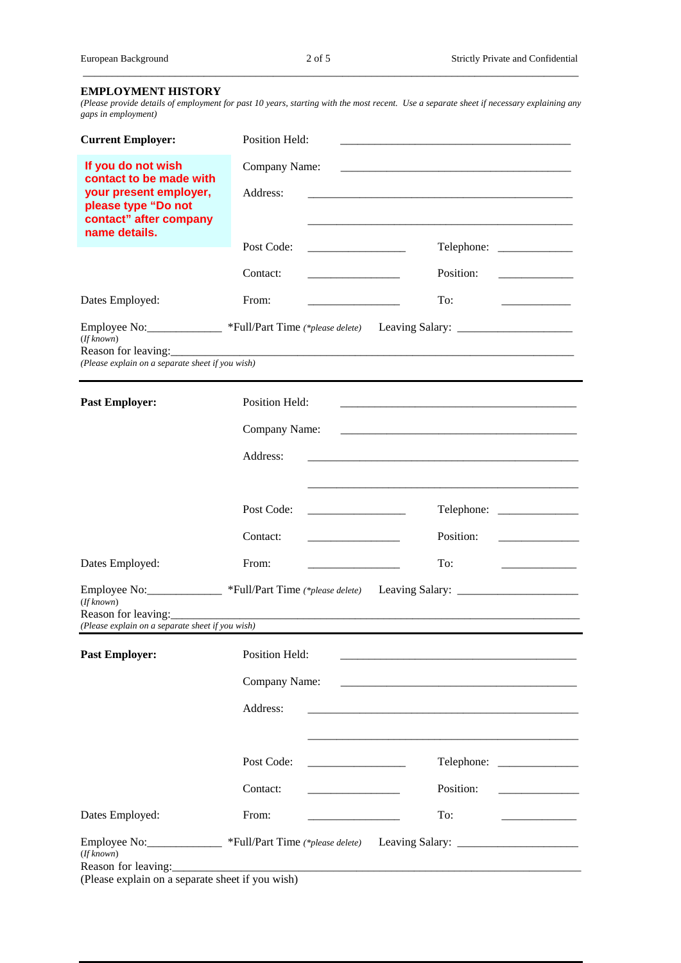## **EMPLOYMENT HISTORY**

*(Please provide details of employment for past 10 years, starting with the most recent. Use a separate sheet if necessary explaining any gaps in employment)*

 $\_$  ,  $\_$  ,  $\_$  ,  $\_$  ,  $\_$  ,  $\_$  ,  $\_$  ,  $\_$  ,  $\_$  ,  $\_$  ,  $\_$  ,  $\_$  ,  $\_$  ,  $\_$  ,  $\_$  ,  $\_$  ,  $\_$  ,  $\_$  ,  $\_$  ,  $\_$  ,  $\_$  ,  $\_$  ,  $\_$  ,  $\_$  ,  $\_$  ,  $\_$  ,  $\_$  ,  $\_$  ,  $\_$  ,  $\_$  ,  $\_$  ,  $\_$  ,  $\_$  ,  $\_$  ,  $\_$  ,  $\_$  ,  $\_$  ,

| <b>Current Employer:</b>                                                                                                                                                                                                                                                                                                                                   | Position Held:                                                                                                                         |  |  |           |                                              |
|------------------------------------------------------------------------------------------------------------------------------------------------------------------------------------------------------------------------------------------------------------------------------------------------------------------------------------------------------------|----------------------------------------------------------------------------------------------------------------------------------------|--|--|-----------|----------------------------------------------|
| If you do not wish<br>contact to be made with<br>your present employer,<br>please type "Do not<br>contact" after company                                                                                                                                                                                                                                   | Company Name:<br>Address:                                                                                                              |  |  |           |                                              |
| name details.                                                                                                                                                                                                                                                                                                                                              | Post Code:                                                                                                                             |  |  |           | Telephone: ______________                    |
|                                                                                                                                                                                                                                                                                                                                                            |                                                                                                                                        |  |  |           |                                              |
|                                                                                                                                                                                                                                                                                                                                                            | Contact:                                                                                                                               |  |  | Position: |                                              |
| Dates Employed:                                                                                                                                                                                                                                                                                                                                            | From:                                                                                                                                  |  |  | To:       |                                              |
| Employee No: ____________ *Full/Part Time (*please delete)<br>(If known)<br>(Please explain on a separate sheet if you wish)                                                                                                                                                                                                                               |                                                                                                                                        |  |  |           |                                              |
| <b>Past Employer:</b>                                                                                                                                                                                                                                                                                                                                      | Position Held:                                                                                                                         |  |  |           |                                              |
|                                                                                                                                                                                                                                                                                                                                                            | Company Name:<br><u> 1989 - Johann Barbara, martxa alemaniar amerikan basar da da a shekara a shekara a shekara a shekara a shekar</u> |  |  |           |                                              |
|                                                                                                                                                                                                                                                                                                                                                            | Address:                                                                                                                               |  |  |           |                                              |
|                                                                                                                                                                                                                                                                                                                                                            | Post Code:                                                                                                                             |  |  |           |                                              |
|                                                                                                                                                                                                                                                                                                                                                            | Contact:                                                                                                                               |  |  | Position: |                                              |
| Dates Employed:                                                                                                                                                                                                                                                                                                                                            | From:                                                                                                                                  |  |  | To:       | the control of the control of the control of |
| (If known)<br>Reason for leaving:                                                                                                                                                                                                                                                                                                                          | Employee No: _____________ *Full/Part Time (*please delete)                                                                            |  |  |           |                                              |
| (Please explain on a separate sheet if you wish)                                                                                                                                                                                                                                                                                                           |                                                                                                                                        |  |  |           |                                              |
| <b>Past Employer:</b>                                                                                                                                                                                                                                                                                                                                      | Position Held:                                                                                                                         |  |  |           |                                              |
|                                                                                                                                                                                                                                                                                                                                                            | Company Name:                                                                                                                          |  |  |           |                                              |
|                                                                                                                                                                                                                                                                                                                                                            | Address:                                                                                                                               |  |  |           |                                              |
|                                                                                                                                                                                                                                                                                                                                                            | Post Code:                                                                                                                             |  |  |           |                                              |
|                                                                                                                                                                                                                                                                                                                                                            | Contact:                                                                                                                               |  |  | Position: |                                              |
| Dates Employed:                                                                                                                                                                                                                                                                                                                                            | From:                                                                                                                                  |  |  | To:       |                                              |
| Employee No: ______________ *Full/Part Time (*please delete) Leaving Salary: _______________________<br>(If known)<br>Reason for leaving: <u>contract and a set of the set of the set of the set of the set of the set of the set of the set of the set of the set of the set of the set of the set of the set of the set of the set of the set of the</u> |                                                                                                                                        |  |  |           |                                              |

(Please explain on a separate sheet if you wish)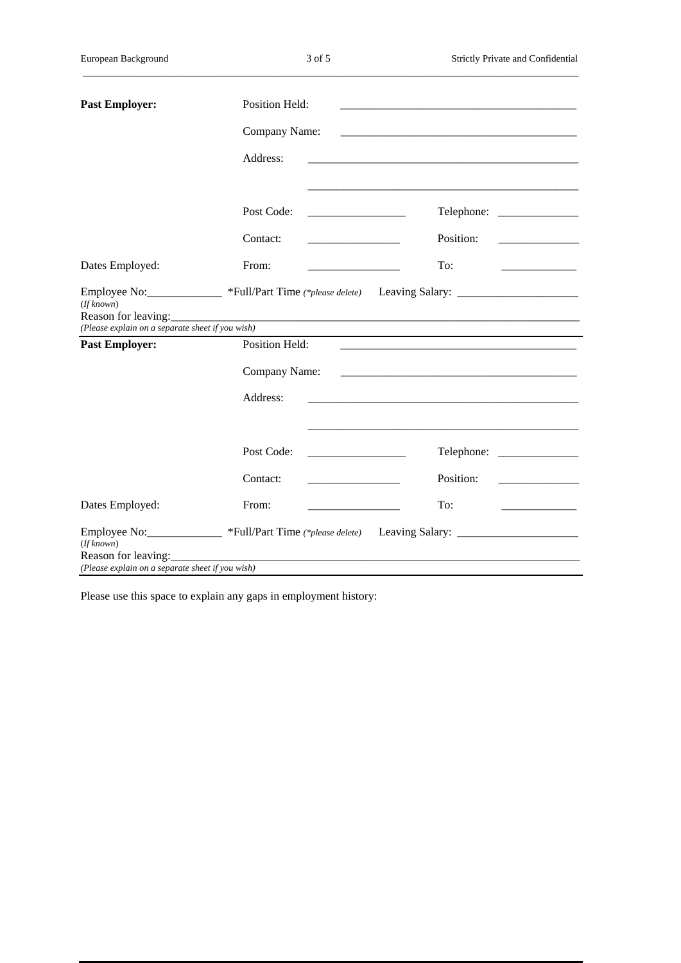$\_$  ,  $\_$  ,  $\_$  ,  $\_$  ,  $\_$  ,  $\_$  ,  $\_$  ,  $\_$  ,  $\_$  ,  $\_$  ,  $\_$  ,  $\_$  ,  $\_$  ,  $\_$  ,  $\_$  ,  $\_$  ,  $\_$  ,  $\_$  ,  $\_$  ,  $\_$  ,  $\_$  ,  $\_$  ,  $\_$  ,  $\_$  ,  $\_$  ,  $\_$  ,  $\_$  ,  $\_$  ,  $\_$  ,  $\_$  ,  $\_$  ,  $\_$  ,  $\_$  ,  $\_$  ,  $\_$  ,  $\_$  ,  $\_$  ,

| <b>Past Employer:</b>                            | Position Held:                                      |                                                                                                      |  |  |  |
|--------------------------------------------------|-----------------------------------------------------|------------------------------------------------------------------------------------------------------|--|--|--|
|                                                  | Company Name:                                       |                                                                                                      |  |  |  |
|                                                  | Address:                                            |                                                                                                      |  |  |  |
|                                                  | Post Code:                                          |                                                                                                      |  |  |  |
|                                                  | Contact:<br><u> 1989 - Johann Barbara, martin a</u> | Position:                                                                                            |  |  |  |
| Dates Employed:                                  | From:<br><u> 1989 - Johann Barbara, martin a</u>    | To:<br>_________________________                                                                     |  |  |  |
| (If known)                                       |                                                     | Employee No: ____________ *Full/Part Time (*please delete) Leaving Salary: _________________________ |  |  |  |
| (Please explain on a separate sheet if you wish) |                                                     |                                                                                                      |  |  |  |
| <b>Past Employer:</b>                            | Position Held:                                      |                                                                                                      |  |  |  |
|                                                  | Company Name:                                       |                                                                                                      |  |  |  |
|                                                  | Address:                                            |                                                                                                      |  |  |  |
|                                                  |                                                     |                                                                                                      |  |  |  |
|                                                  | Post Code:                                          |                                                                                                      |  |  |  |
|                                                  | Contact:                                            | Position:                                                                                            |  |  |  |
| Dates Employed:                                  | From:                                               | To:                                                                                                  |  |  |  |
| (If known)                                       |                                                     | Employee No: _____________ *Full/Part Time (*please delete) Leaving Salary: ________________________ |  |  |  |
| (Please explain on a separate sheet if you wish) |                                                     |                                                                                                      |  |  |  |

Please use this space to explain any gaps in employment history: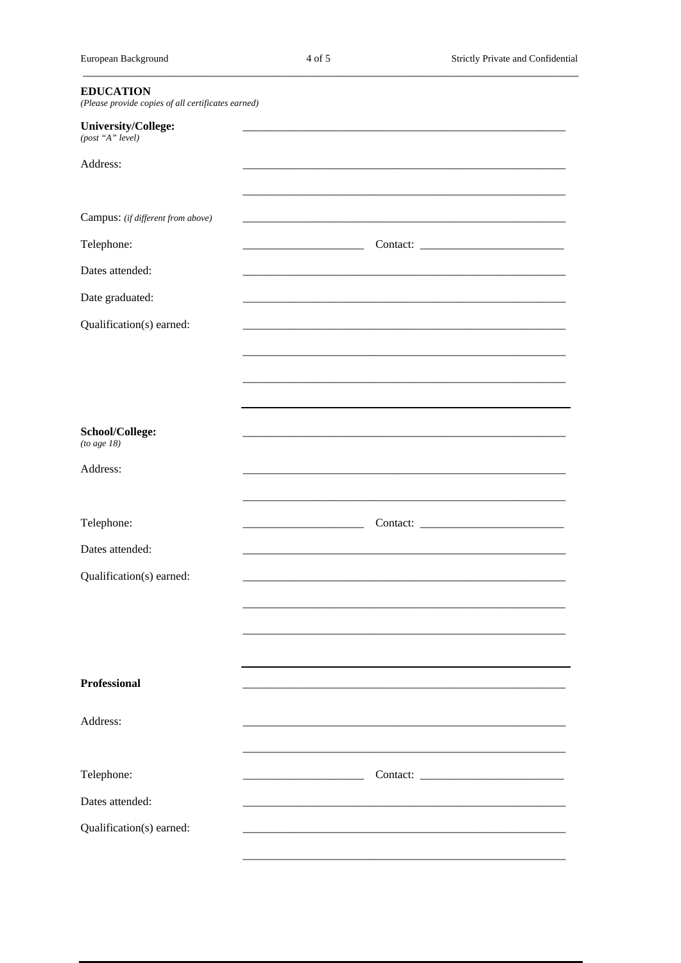| <b>EDUCATION</b><br>(Please provide copies of all certificates earned) |  |
|------------------------------------------------------------------------|--|
| University/College:<br>(post "A" level)                                |  |
| Address:                                                               |  |
| Campus: (if different from above)                                      |  |
| Telephone:                                                             |  |
| Dates attended:                                                        |  |
| Date graduated:                                                        |  |
| Qualification(s) earned:                                               |  |
|                                                                        |  |
|                                                                        |  |
|                                                                        |  |
| School/College:<br>(to age $18$ )                                      |  |
| Address:                                                               |  |
|                                                                        |  |
| Telephone:                                                             |  |
| Dates attended:                                                        |  |
| Qualification(s) earned:                                               |  |
|                                                                        |  |
|                                                                        |  |
|                                                                        |  |
| <b>Professional</b>                                                    |  |
| Address:                                                               |  |
|                                                                        |  |
| Telephone:                                                             |  |
| Dates attended:                                                        |  |
| Qualification(s) earned:                                               |  |